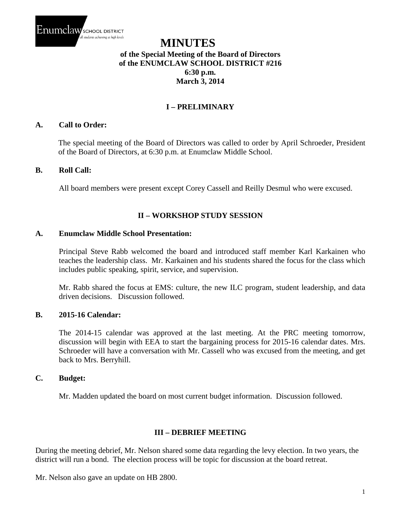

# **MINUTES of the Special Meeting of the Board of Directors of the ENUMCLAW SCHOOL DISTRICT #216 6:30 p.m. March 3, 2014**

# **I – PRELIMINARY**

# **A. Call to Order:**

The special meeting of the Board of Directors was called to order by April Schroeder, President of the Board of Directors, at 6:30 p.m. at Enumclaw Middle School.

## **B. Roll Call:**

All board members were present except Corey Cassell and Reilly Desmul who were excused.

# **II – WORKSHOP STUDY SESSION**

#### **A. Enumclaw Middle School Presentation:**

Principal Steve Rabb welcomed the board and introduced staff member Karl Karkainen who teaches the leadership class. Mr. Karkainen and his students shared the focus for the class which includes public speaking, spirit, service, and supervision.

Mr. Rabb shared the focus at EMS: culture, the new ILC program, student leadership, and data driven decisions. Discussion followed.

# **B. 2015-16 Calendar:**

The 2014-15 calendar was approved at the last meeting. At the PRC meeting tomorrow, discussion will begin with EEA to start the bargaining process for 2015-16 calendar dates. Mrs. Schroeder will have a conversation with Mr. Cassell who was excused from the meeting, and get back to Mrs. Berryhill.

## **C. Budget:**

Mr. Madden updated the board on most current budget information. Discussion followed.

## **III – DEBRIEF MEETING**

During the meeting debrief, Mr. Nelson shared some data regarding the levy election. In two years, the district will run a bond. The election process will be topic for discussion at the board retreat.

Mr. Nelson also gave an update on HB 2800.